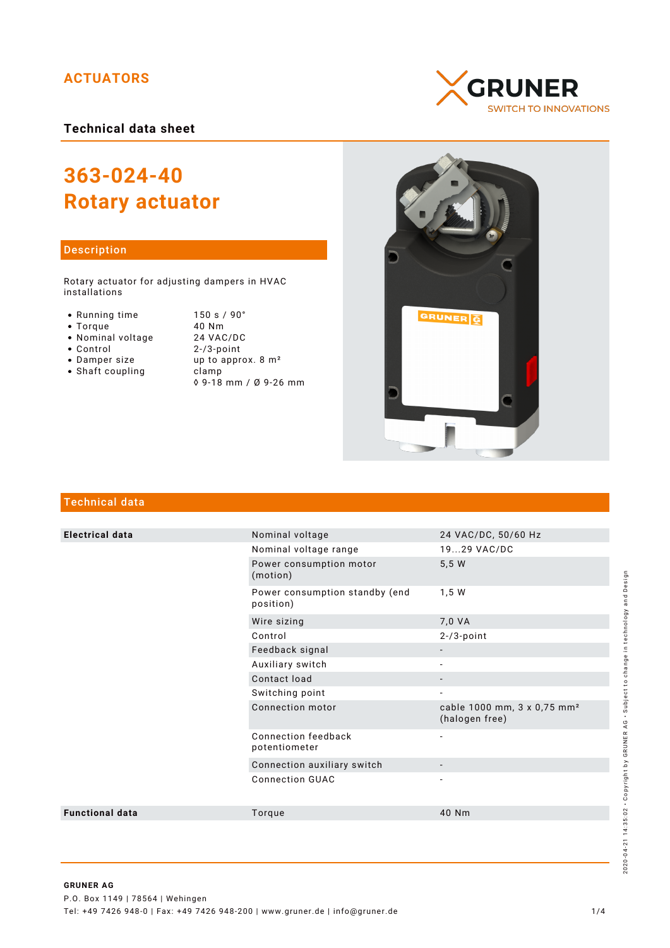## **ACTUATORS**

## **Technical data sheet**

# **363-024-40 Rotary actuator**

#### Description

Rotary actuator for adjusting dampers in HVAC installations

- Running time
- $\bullet$  Torque
- Nominal voltage
- Control
- Damper size
- $\bullet$  Shaft coupling

| 150 s / 90°                    |
|--------------------------------|
| 40 Nm                          |
| 24 VAC/DC                      |
| $2 - 3$ -point                 |
| up to approx. 8 m <sup>2</sup> |
| clamp                          |
| ◊ 9-18 mm / Ø 9-26 mm          |





## Technical data

| <b>Electrical data</b> | Nominal voltage                             | 24 VAC/DC, 50/60 Hz                                       |
|------------------------|---------------------------------------------|-----------------------------------------------------------|
|                        | Nominal voltage range                       | 1929 VAC/DC                                               |
|                        | Power consumption motor<br>(motion)         | 5,5 W                                                     |
|                        | Power consumption standby (end<br>position) | 1,5 W                                                     |
|                        | Wire sizing                                 | 7,0 VA                                                    |
|                        | Control                                     | $2 - 73$ -point                                           |
|                        | Feedback signal                             | $\overline{\phantom{a}}$                                  |
|                        | Auxiliary switch                            |                                                           |
|                        | Contact load                                | $\overline{\phantom{a}}$                                  |
|                        | Switching point                             | $\overline{\phantom{a}}$                                  |
|                        | Connection motor                            | cable 1000 mm, 3 x 0,75 mm <sup>2</sup><br>(halogen free) |
|                        | Connection feedback<br>potentiometer        | $\overline{\phantom{a}}$                                  |
|                        | Connection auxiliary switch                 | $\overline{\phantom{a}}$                                  |
|                        | <b>Connection GUAC</b>                      | $\overline{a}$                                            |
| <b>Functional data</b> | Torque                                      | 40 Nm                                                     |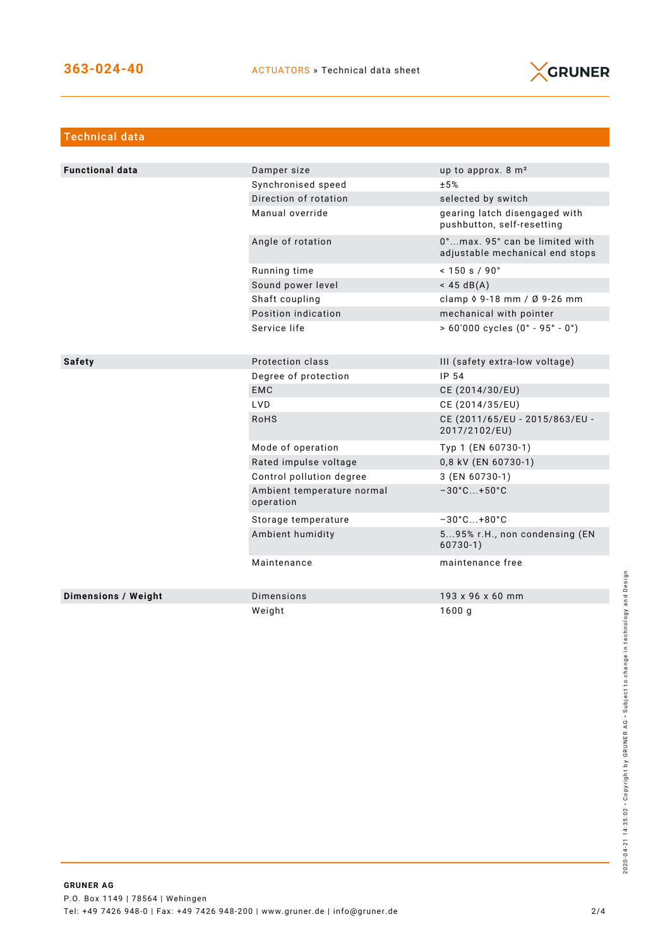

| <b>Technical data</b>  |                                         |                                                                     |  |  |
|------------------------|-----------------------------------------|---------------------------------------------------------------------|--|--|
|                        |                                         |                                                                     |  |  |
| <b>Functional data</b> | Damper size                             | up to approx. $8 \text{ m}^2$                                       |  |  |
|                        | Synchronised speed                      | ±5%                                                                 |  |  |
|                        | Direction of rotation                   | selected by switch                                                  |  |  |
|                        | Manual override                         | gearing latch disengaged with<br>pushbutton, self-resetting         |  |  |
|                        | Angle of rotation                       | 0°  max. 95° can be limited with<br>adjustable mechanical end stops |  |  |
|                        | Running time                            | $< 150$ s / 90 $^{\circ}$                                           |  |  |
|                        | Sound power level                       | $<$ 45 dB(A)                                                        |  |  |
|                        | Shaft coupling                          | clamp $\sqrt{9}$ -18 mm / Ø 9-26 mm                                 |  |  |
|                        | Position indication                     | mechanical with pointer                                             |  |  |
|                        | Service life                            | $> 60'000$ cycles $(0° - 95° - 0°)$                                 |  |  |
|                        |                                         |                                                                     |  |  |
| <b>Safety</b>          | Protection class                        | III (safety extra-low voltage)                                      |  |  |
|                        | Degree of protection                    | IP 54                                                               |  |  |
|                        | <b>EMC</b>                              | CE (2014/30/EU)                                                     |  |  |
|                        | LVD.                                    | CE (2014/35/EU)                                                     |  |  |
|                        | <b>RoHS</b>                             | CE (2011/65/EU - 2015/863/EU -<br>2017/2102/EU)                     |  |  |
|                        | Mode of operation                       | Typ 1 (EN 60730-1)                                                  |  |  |
|                        | Rated impulse voltage                   | 0,8 kV (EN 60730-1)                                                 |  |  |
|                        | Control pollution degree                | 3 (EN 60730-1)                                                      |  |  |
|                        | Ambient temperature normal<br>operation | $-30^{\circ}$ C +50 $^{\circ}$ C                                    |  |  |
|                        | Storage temperature                     | $-30^{\circ}$ C +80 $^{\circ}$ C                                    |  |  |
|                        | Ambient humidity                        | 595% r.H., non condensing (EN<br>$60730-1)$                         |  |  |
|                        | Maintenance                             | maintenance free                                                    |  |  |
| Dimensions / Weight    | Dimensions                              | 193 x 96 x 60 mm                                                    |  |  |
|                        | Weight                                  | 1600q                                                               |  |  |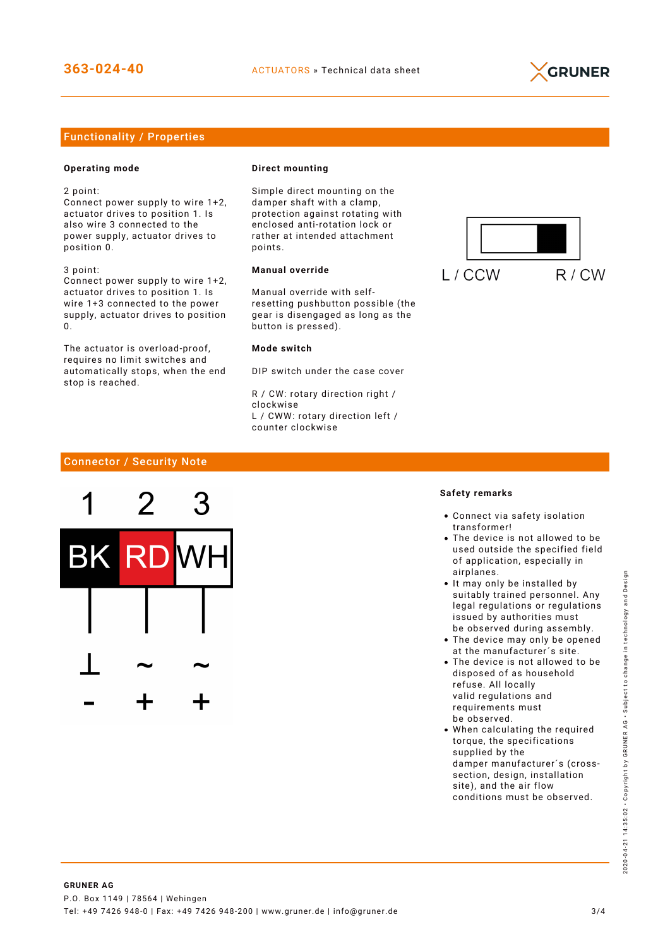

### Functionality / Properties

#### **Operating mode**

2 point:

Connect power supply to wire 1+2, actuator drives to position 1. Is also wire 3 connected to the power supply, actuator drives to position 0.

3 point: Connect power supply to wire 1+2, actuator drives to position 1. Is wire 1+3 connected to the power supply, actuator drives to position  $\Omega$ 

The actuator is overload-proof, requires no limit switches and automatically stops, when the end stop is reached.

#### **Direct mounting**

Simple direct mounting on the damper shaft with a clamp, protection against rotating with enclosed anti-rotation lock or rather at intended attachment points.

#### **Manual override**

Manual override with selfresetting pushbutton possible (the gear is disengaged as long as the button is pressed).

#### **Mode switch**

DIP switch under the case cover

R / CW: rotary direction right / clockwise L / CWW: rotary direction left / counter clockwise



#### Connector / Security Note



#### **Safety remarks**

- Connect via safety isolation transformer!
- The device is not allowed to be used outside the specified field of application, especially in airplanes.
- It may only be installed by suitably trained personnel. Any legal regulations or regulations issued by authorities must be observed during assembly.
- The device may only be opened at the manufacturer´s site.
- The device is not allowed to be disposed of as household refuse. All locally valid regulations and requirements must be observed.
- When calculating the required torque, the specifications supplied by the damper manufacturer´s (crosssection, design, installation site), and the air flow conditions must be observed.